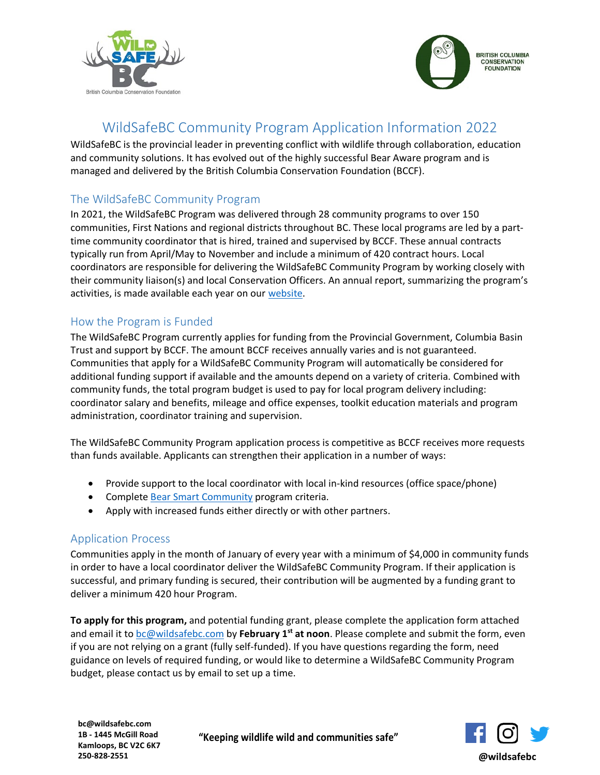



## WildSafeBC Community Program Application Information 2022

WildSafeBC is the provincial leader in preventing conflict with wildlife through collaboration, education and community solutions. It has evolved out of the highly successful Bear Aware program and is managed and delivered by the British Columbia Conservation Foundation (BCCF).

## The WildSafeBC Community Program

In 2021, the WildSafeBC Program was delivered through 28 community programs to over 150 communities, First Nations and regional districts throughout BC. These local programs are led by a parttime community coordinator that is hired, trained and supervised by BCCF. These annual contracts typically run from April/May to November and include a minimum of 420 contract hours. Local coordinators are responsible for delivering the WildSafeBC Community Program by working closely with their community liaison(s) and local Conservation Officers. An annual report, summarizing the program's activities, is made available each year on ou[r website.](https://wildsafebc.com/resources/community-reports/)

## How the Program is Funded

The WildSafeBC Program currently applies for funding from the Provincial Government, Columbia Basin Trust and support by BCCF. The amount BCCF receives annually varies and is not guaranteed. Communities that apply for a WildSafeBC Community Program will automatically be considered for additional funding support if available and the amounts depend on a variety of criteria. Combined with community funds, the total program budget is used to pay for local program delivery including: coordinator salary and benefits, mileage and office expenses, toolkit education materials and program administration, coordinator training and supervision.

The WildSafeBC Community Program application process is competitive as BCCF receives more requests than funds available. Applicants can strengthen their application in a number of ways:

- Provide support to the local coordinator with local in-kind resources (office space/phone)
- Complete [Bear Smart Community](https://wildsafebc.com/programs/bear-smart/) program criteria.
- Apply with increased funds either directly or with other partners.

## Application Process

Communities apply in the month of January of every year with a minimum of \$4,000 in community funds in order to have a local coordinator deliver the WildSafeBC Community Program. If their application is successful, and primary funding is secured, their contribution will be augmented by a funding grant to deliver a minimum 420 hour Program.

**To apply for this program,** and potential funding grant, please complete the application form attached and email it to [bc@wildsafebc.com](mailto:bc@wildsafebc.com) by **February 1<sup>st</sup> at noon**. Please complete and submit the form, even if you are not relying on a grant (fully self-funded). If you have questions regarding the form, need guidance on levels of required funding, or would like to determine a WildSafeBC Community Program budget, please contact us by email to set up a time.